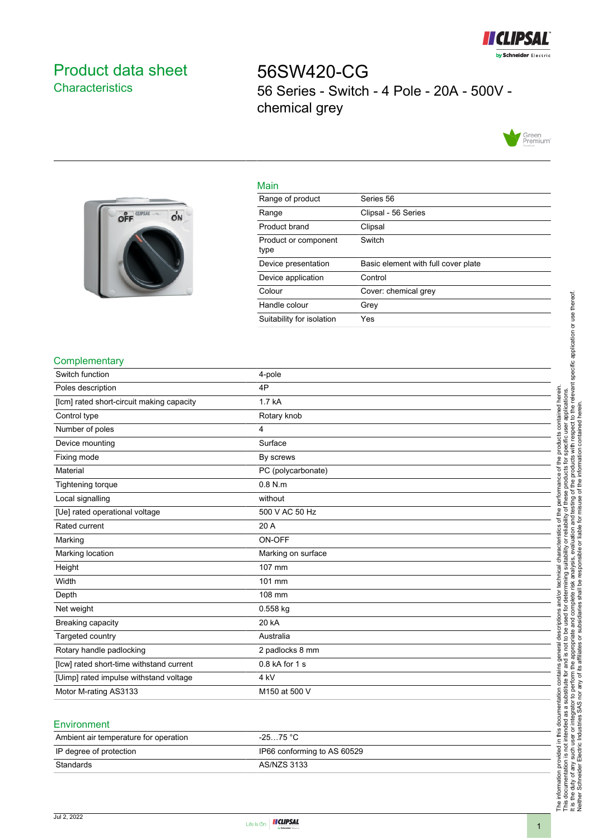

# <span id="page-0-0"></span>Product data sheet **Characteristics**

56SW420-CG 56 Series - Switch - 4 Pole - 20A - 500V chemical grey





| Range of product             | Series 56                           |
|------------------------------|-------------------------------------|
| Range                        | Clipsal - 56 Series                 |
| Product brand                | Clipsal                             |
| Product or component<br>type | Switch                              |
| Device presentation          | Basic element with full cover plate |
| Device application           | Control                             |
| Colour                       | Cover: chemical grey                |
| Handle colour                | Grev                                |

#### **Complementary**

| Switch function                           | 4-pole             |
|-------------------------------------------|--------------------|
| Poles description                         | 4P                 |
| [Icm] rated short-circuit making capacity | 1.7 kA             |
| Control type                              | Rotary knob        |
| Number of poles                           | 4                  |
| Device mounting                           | Surface            |
| Fixing mode                               | By screws          |
| Material                                  | PC (polycarbonate) |
| Tightening torque                         | $0.8$ N.m.         |
| Local signalling                          | without            |
| [Ue] rated operational voltage            | 500 V AC 50 Hz     |
| Rated current                             | 20 A               |
| Marking                                   | ON-OFF             |
| Marking location                          | Marking on surface |
| Height                                    | 107 mm             |
| Width                                     | 101 mm             |
| Depth                                     | 108 mm             |
| Net weight                                | 0.558 kg           |
| Breaking capacity                         | 20 kA              |
| Targeted country                          | Australia          |
| Rotary handle padlocking                  | 2 padlocks 8 mm    |
| [lcw] rated short-time withstand current  | $0.8$ kA for 1 s   |
| [Uimp] rated impulse withstand voltage    | 4 kV               |
| Motor M-rating AS3133                     | M150 at 500 V      |

Suitability for isolation Yes

Main

#### **Environment**

| Ambient air temperature for operation | -25…75 °C                   |
|---------------------------------------|-----------------------------|
| IP degree of protection               | IP66 conforming to AS 60529 |
| Standards                             | AS/NZS 3133                 |